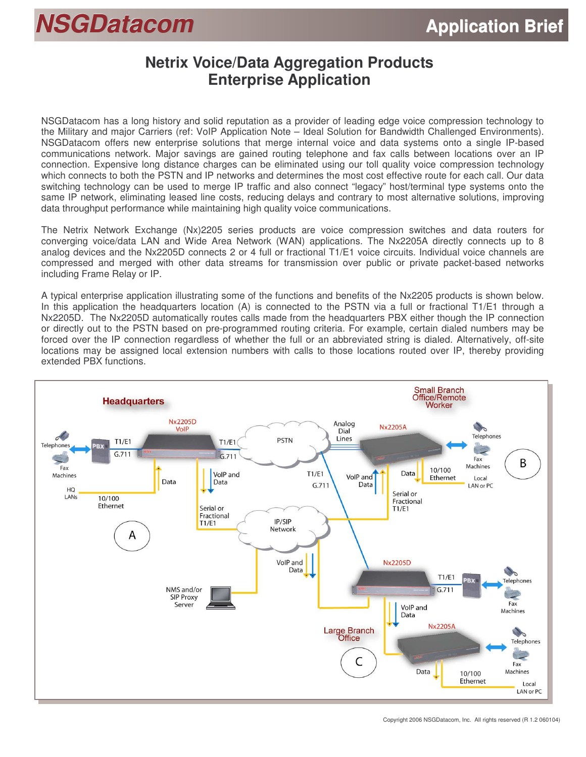# *NSGDatacom* **Application Brief**

### **Netrix Voice/Data Aggregation Products Enterprise Application**

NSGDatacom has a long history and solid reputation as a provider of leading edge voice compression technology to the Military and major Carriers (ref: VoIP Application Note – Ideal Solution for Bandwidth Challenged Environments). NSGDatacom offers new enterprise solutions that merge internal voice and data systems onto a single IP-based communications network. Major savings are gained routing telephone and fax calls between locations over an IP connection. Expensive long distance charges can be eliminated using our toll quality voice compression technology which connects to both the PSTN and IP networks and determines the most cost effective route for each call. Our data switching technology can be used to merge IP traffic and also connect "legacy" host/terminal type systems onto the same IP network, eliminating leased line costs, reducing delays and contrary to most alternative solutions, improving data throughput performance while maintaining high quality voice communications.

The Netrix Network Exchange (Nx)2205 series products are voice compression switches and data routers for converging voice/data LAN and Wide Area Network (WAN) applications. The Nx2205A directly connects up to 8 analog devices and the Nx2205D connects 2 or 4 full or fractional T1/E1 voice circuits. Individual voice channels are compressed and merged with other data streams for transmission over public or private packet-based networks including Frame Relay or IP.

A typical enterprise application illustrating some of the functions and benefits of the Nx2205 products is shown below. In this application the headquarters location (A) is connected to the PSTN via a full or fractional T1/E1 through a Nx2205D. The Nx2205D automatically routes calls made from the headquarters PBX either though the IP connection or directly out to the PSTN based on pre-programmed routing criteria. For example, certain dialed numbers may be forced over the IP connection regardless of whether the full or an abbreviated string is dialed. Alternatively, off-site locations may be assigned local extension numbers with calls to those locations routed over IP, thereby providing extended PBX functions.